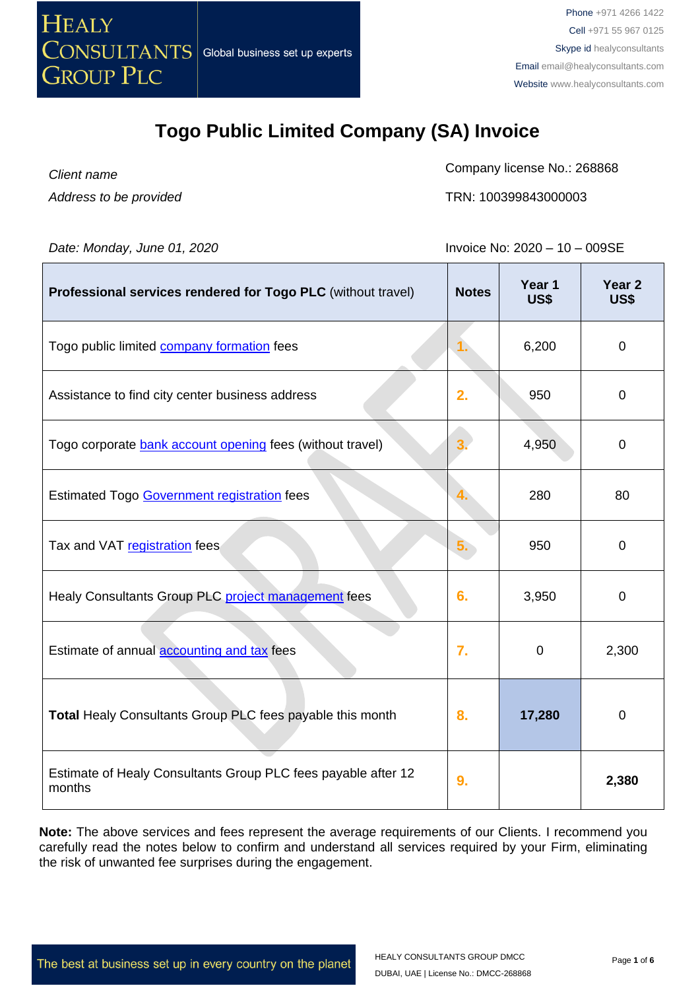

*Client name Address to be provided*

 $\blacksquare$ 

Company license No.: 268868

TRN: 100399843000003

T

*Date: Monday, June 01, 2020* **Invoice No: 2020 – 10 – 009SE** 

T

| Professional services rendered for Togo PLC (without travel)            | <b>Notes</b> | Year 1<br>US\$ | Year <sub>2</sub><br>US\$ |
|-------------------------------------------------------------------------|--------------|----------------|---------------------------|
| Togo public limited company formation fees                              | 1.           | 6,200          | $\mathbf 0$               |
| Assistance to find city center business address                         | 2.           | 950            | $\mathbf 0$               |
| Togo corporate bank account opening fees (without travel)               |              | 4,950          | $\mathbf 0$               |
| Estimated Togo Government registration fees                             |              | 280            | 80                        |
| Tax and VAT registration fees                                           | 5.           | 950            | $\mathbf 0$               |
| Healy Consultants Group PLC project management fees                     | 6.           | 3,950          | 0                         |
| Estimate of annual <b>accounting and tax</b> fees                       | 7.           | $\mathbf 0$    | 2,300                     |
| Total Healy Consultants Group PLC fees payable this month               | 8.           | 17,280         | $\overline{0}$            |
| Estimate of Healy Consultants Group PLC fees payable after 12<br>months | 9.           |                | 2,380                     |

**Note:** The above services and fees represent the average requirements of our Clients. I recommend you carefully read the notes below to confirm and understand all services required by your Firm, eliminating the risk of unwanted fee surprises during the engagement.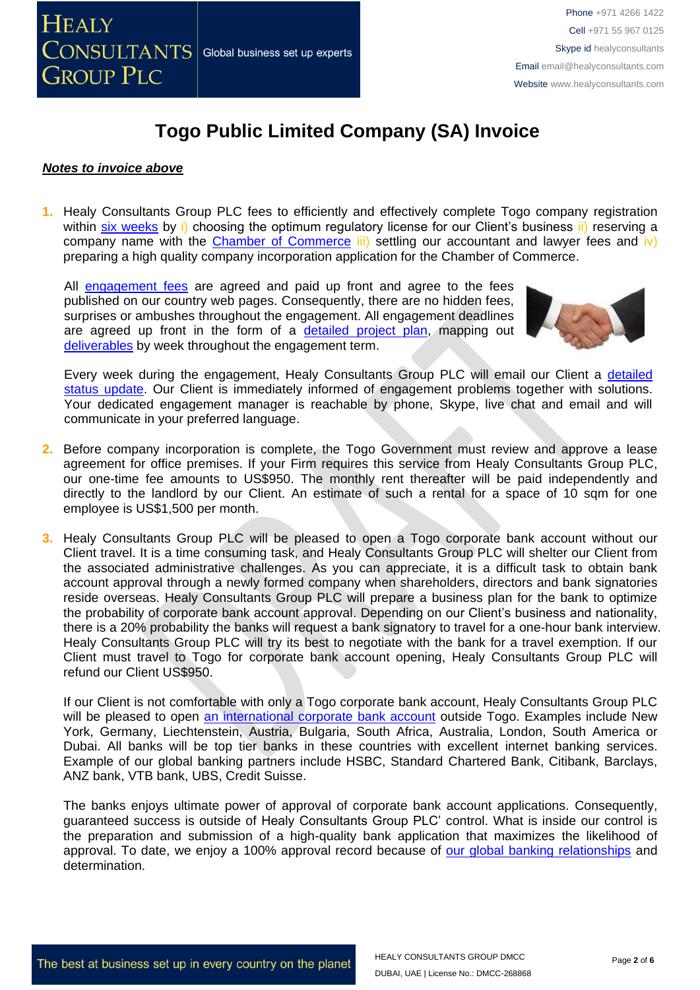

#### *Notes to invoice above*

**1.** Healy Consultants Group PLC fees to efficiently and effectively complete Togo company registration within [six weeks](http://www.healyconsultants.com/togo-company-registration/fees-timelines/) by i) choosing the optimum regulatory license for our Client's business ii) reserving a company name with the Chamber [of Commerce](http://www.ccit.tg/)  $\overline{iii}$  settling our accountant and lawyer fees and  $\overline{iv}$ ) preparing a high quality company incorporation application for the Chamber of Commerce.

All [engagement fees](http://www.healyconsultants.com/company-registration-fees/) are agreed and paid up front and agree to the fees published on our country web pages. Consequently, there are no hidden fees, surprises or ambushes throughout the engagement. All engagement deadlines are agreed up front in the form of a [detailed project plan,](http://www.healyconsultants.com/index-important-links/example-project-plan/) mapping out [deliverables](http://www.healyconsultants.com/deliverables-to-our-clients/) by week throughout the engagement term.



Every week during the engagement, Healy Consultants Group PLC will email our Client a [detailed](http://www.healyconsultants.com/index-important-links/weekly-engagement-status-email/)  [status update.](http://www.healyconsultants.com/index-important-links/weekly-engagement-status-email/) Our Client is immediately informed of engagement problems together with solutions. Your dedicated engagement manager is reachable by phone, Skype, live chat and email and will communicate in your preferred language.

- **2.** Before company incorporation is complete, the Togo Government must review and approve a lease agreement for office premises. If your Firm requires this service from Healy Consultants Group PLC, our one-time fee amounts to US\$950. The monthly rent thereafter will be paid independently and directly to the landlord by our Client. An estimate of such a rental for a space of 10 sqm for one employee is US\$1,500 per month.
- **3.** Healy Consultants Group PLC will be pleased to open a Togo corporate bank account without our Client travel. It is a time consuming task, and Healy Consultants Group PLC will shelter our Client from the associated administrative challenges. As you can appreciate, it is a difficult task to obtain bank account approval through a newly formed company when shareholders, directors and bank signatories reside overseas. Healy Consultants Group PLC will prepare a business plan for the bank to optimize the probability of corporate bank account approval. Depending on our Client's business and nationality, there is a 20% probability the banks will request a bank signatory to travel for a one-hour bank interview. Healy Consultants Group PLC will try its best to negotiate with the bank for a travel exemption. If our Client must travel to Togo for corporate bank account opening, Healy Consultants Group PLC will refund our Client US\$950.

If our Client is not comfortable with only a Togo corporate bank account, Healy Consultants Group PLC will be pleased to open [an international corporate bank account](http://www.healyconsultants.com/international-banking/) outside Togo. Examples include New York, Germany, Liechtenstein, Austria, Bulgaria, South Africa, Australia, London, South America or Dubai. All banks will be top tier banks in these countries with excellent internet banking services. Example of our global banking partners include HSBC, Standard Chartered Bank, Citibank, Barclays, ANZ bank, VTB bank, UBS, Credit Suisse.

The banks enjoys ultimate power of approval of corporate bank account applications. Consequently, guaranteed success is outside of Healy Consultants Group PLC' control. What is inside our control is the preparation and submission of a high-quality bank application that maximizes the likelihood of approval. To date, we enjoy a 100% approval record because of [our global banking relationships](http://www.healyconsultants.com/international-banking/corporate-accounts/) and determination.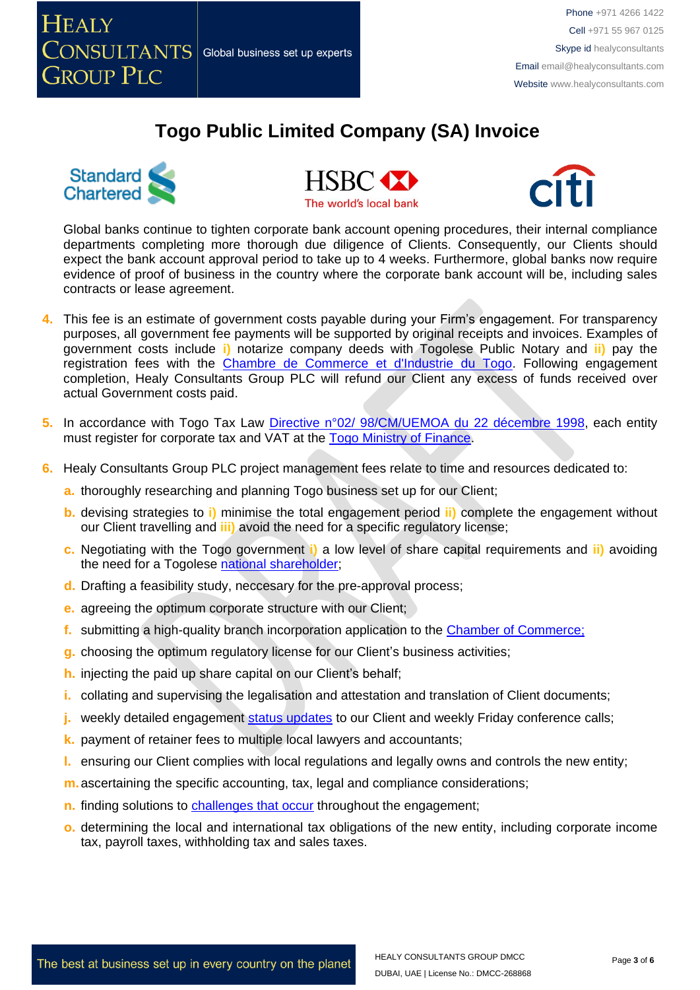



**HSBC M** The world's local bank



Global banks continue to tighten corporate bank account opening procedures, their internal compliance departments completing more thorough due diligence of Clients. Consequently, our Clients should expect the bank account approval period to take up to 4 weeks. Furthermore, global banks now require evidence of proof of business in the country where the corporate bank account will be, including sales contracts or lease agreement.

- **4.** This fee is an estimate of government costs payable during your Firm's engagement. For transparency purposes, all government fee payments will be supported by original receipts and invoices. Examples of government costs include **i)** notarize company deeds with Togolese Public Notary and **ii)** pay the registration fees with the [Chambre de Commerce et d'Industrie du Togo.](http://www.ccit.tg/) Following engagement completion, Healy Consultants Group PLC will refund our Client any excess of funds received over actual Government costs paid.
- 5. In accordance with Togo Tax Law *Directive n°02/ 98/CM/UEMOA* du 22 décembre 1998, each entitv must register for corporate tax and VAT at the Togo [Ministry of Finance.](http://www.republicoftogo.com/Toutes-les-rubriques/Finances)
- **6.** Healy Consultants Group PLC project management fees relate to time and resources dedicated to:
	- **a.** thoroughly researching and planning Togo business set up for our Client;
	- **b.** devising strategies to **i)** minimise the total engagement period **ii)** complete the engagement without our Client travelling and **iii)** avoid the need for a specific regulatory license;
	- **c.** Negotiating with the Togo government **i)** a low level of share capital requirements and **ii)** avoiding the need for a Togolese national [shareholder;](http://www.healyconsultants.com/corporate-advisory-services/nominee-shareholders-directors/national-shareholder-services/)
	- **d.** Drafting a feasibility study, neccesary for the pre-approval process;
	- **e.** agreeing the optimum corporate structure with our Client;
	- **f.** submitting a high-quality branch incorporation application to the [Chamber of Commerce;](http://www.ccit.tg/)
	- **g.** choosing the optimum regulatory license for our Client's business activities;
	- **h.** injecting the paid up share capital on our Client's behalf;
	- **i.** collating and supervising the legalisation and attestation and translation of Client documents;
	- **j.** weekly detailed engagement [status updates](http://www.healyconsultants.com/index-important-links/weekly-engagement-status-email/) to our Client and weekly Friday conference calls;
	- **k.** payment of retainer fees to multiple local lawyers and accountants;
	- **l.** ensuring our Client complies with local regulations and legally owns and controls the new entity;
	- **m.**ascertaining the specific accounting, tax, legal and compliance considerations;
	- **n.** finding solutions to [challenges that occur](http://www.healyconsultants.com/engagement-project-management/) throughout the engagement;
	- **o.** determining the local and international tax obligations of the new entity, including corporate income tax, payroll taxes, withholding tax and sales taxes.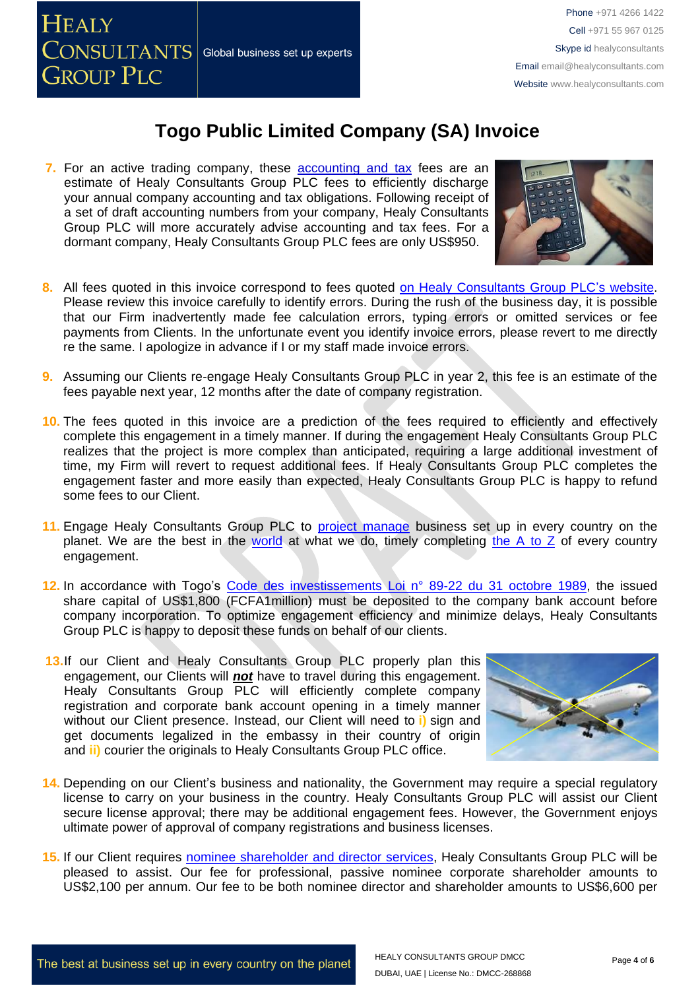

**7.** For an active trading company, these accounting and tax fees are an estimate of Healy Consultants Group PLC fees to efficiently discharge your annual company accounting and tax obligations. Following receipt of a set of draft accounting numbers from your company, Healy Consultants Group PLC will more accurately advise accounting and tax fees. For a dormant company, Healy Consultants Group PLC fees are only US\$950.



- **8.** All fees quoted in this invoice correspond to fees quoted [on Healy Consultants Group PLC's](http://www.healyconsultants.com/company-registration-fees/) website. Please review this invoice carefully to identify errors. During the rush of the business day, it is possible that our Firm inadvertently made fee calculation errors, typing errors or omitted services or fee payments from Clients. In the unfortunate event you identify invoice errors, please revert to me directly re the same. I apologize in advance if I or my staff made invoice errors.
- **9.** Assuming our Clients re-engage Healy Consultants Group PLC in year 2, this fee is an estimate of the fees payable next year, 12 months after the date of company registration.
- **10.** The fees quoted in this invoice are a prediction of the fees required to efficiently and effectively complete this engagement in a timely manner. If during the engagement Healy Consultants Group PLC realizes that the project is more complex than anticipated, requiring a large additional investment of time, my Firm will revert to request additional fees. If Healy Consultants Group PLC completes the engagement faster and more easily than expected, Healy Consultants Group PLC is happy to refund some fees to our Client.
- **11.** Engage Healy Consultants Group PLC to [project manage](http://www.healyconsultants.com/project-manage-engagements/) business set up in every country on the planet. We are the best in the [world](http://www.healyconsultants.com/best-in-the-world/) at what we do, timely completing the A to  $Z$  of every country engagement.
- **12.** In accordance with Togo's [Code des investissements Loi n° 89-22 du 31 octobre 1989,](http://www.droit-afrique.com/images/textes/Togo/Togo%20-%20Code%20des%20investissements.pdf) the issued share capital of US\$1,800 (FCFA1million) must be deposited to the company bank account before company incorporation. To optimize engagement efficiency and minimize delays, Healy Consultants Group PLC is happy to deposit these funds on behalf of our clients.
- 13.If our Client and Healy Consultants Group PLC properly plan this engagement, our Clients will *not* have to travel during this engagement. Healy Consultants Group PLC will efficiently complete company registration and corporate bank account opening in a timely manner without our Client presence. Instead, our Client will need to **i)** sign and get documents legalized in the embassy in their country of origin and **ii)** courier the originals to Healy Consultants Group PLC office.

![](_page_3_Picture_11.jpeg)

- **14.** Depending on our Client's business and nationality, the Government may require a special regulatory license to carry on your business in the country. Healy Consultants Group PLC will assist our Client secure license approval; there may be additional engagement fees. However, the Government enjoys ultimate power of approval of company registrations and business licenses.
- **15.** If our Client requires [nominee shareholder and director services,](http://www.healyconsultants.com/corporate-outsourcing-services/nominee-shareholders-directors/) Healy Consultants Group PLC will be pleased to assist. Our fee for professional, passive nominee corporate shareholder amounts to US\$2,100 per annum. Our fee to be both nominee director and shareholder amounts to US\$6,600 per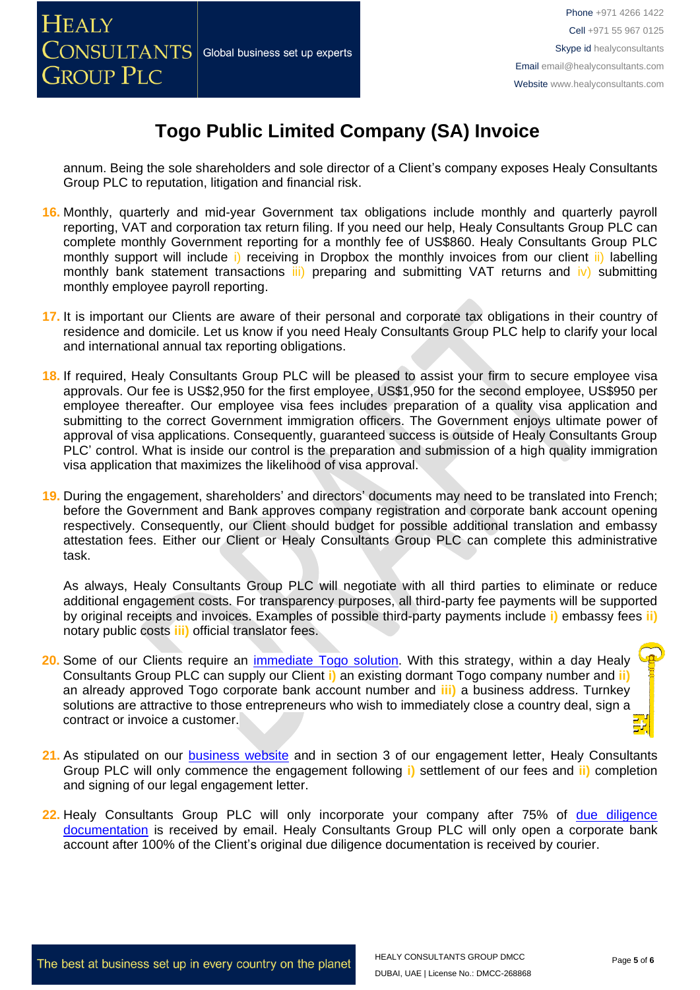annum. Being the sole shareholders and sole director of a Client's company exposes Healy Consultants Group PLC to reputation, litigation and financial risk.

- **16.** Monthly, quarterly and mid-year Government tax obligations include monthly and quarterly payroll reporting, VAT and corporation tax return filing. If you need our help, Healy Consultants Group PLC can complete monthly Government reporting for a monthly fee of US\$860. Healy Consultants Group PLC monthly support will include i) receiving in Dropbox the monthly invoices from our client ii) labelling monthly bank statement transactions iii) preparing and submitting VAT returns and iv) submitting monthly employee payroll reporting.
- **17.** It is important our Clients are aware of their personal and corporate tax obligations in their country of residence and domicile. Let us know if you need Healy Consultants Group PLC help to clarify your local and international annual tax reporting obligations.
- **18.** If required, Healy Consultants Group PLC will be pleased to assist your firm to secure employee visa approvals. Our fee is US\$2,950 for the first employee, US\$1,950 for the second employee, US\$950 per employee thereafter. Our employee visa fees includes preparation of a quality visa application and submitting to the correct Government immigration officers. The Government enjoys ultimate power of approval of visa applications. Consequently, guaranteed success is outside of Healy Consultants Group PLC' control. What is inside our control is the preparation and submission of a high quality immigration visa application that maximizes the likelihood of visa approval.
- **19.** During the engagement, shareholders' and directors' documents may need to be translated into French; before the Government and Bank approves company registration and corporate bank account opening respectively. Consequently, our Client should budget for possible additional translation and embassy attestation fees. Either our Client or Healy Consultants Group PLC can complete this administrative task.

As always, Healy Consultants Group PLC will negotiate with all third parties to eliminate or reduce additional engagement costs. For transparency purposes, all third-party fee payments will be supported by original receipts and invoices. Examples of possible third-party payments include **i)** embassy fees **ii)** notary public costs **iii)** official translator fees.

- **20.** Some of our Clients require an [immediate Togo](http://www.healyconsultants.com/turnkey-solutions/) solution. With this strategy, within a day Healy Consultants Group PLC can supply our Client **i)** an existing dormant Togo company number and **ii)** an already approved Togo corporate bank account number and **iii)** a business address. Turnkey solutions are attractive to those entrepreneurs who wish to immediately close a country deal, sign a contract or invoice a customer.
- **21.** As stipulated on our [business website](http://www.healyconsultants.com/) and in section 3 of our engagement letter, Healy Consultants Group PLC will only commence the engagement following **i)** settlement of our fees and **ii)** completion and signing of our legal engagement letter.
- 22. Healy Consultants Group PLC will only incorporate your company after 75% of due diligence [documentation](http://www.healyconsultants.com/due-diligence/) is received by email. Healy Consultants Group PLC will only open a corporate bank account after 100% of the Client's original due diligence documentation is received by courier.